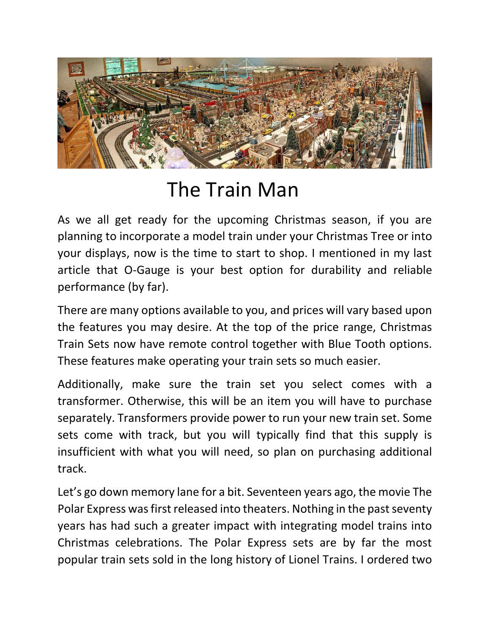

## The Train Man

As we all get ready for the upcoming Christmas season, if you are planning to incorporate a model train under your Christmas Tree or into your displays, now is the time to start to shop. I mentioned in my last article that O-Gauge is your best option for durability and reliable performance (by far).

There are many options available to you, and prices will vary based upon the features you may desire. At the top of the price range, Christmas Train Sets now have remote control together with Blue Tooth options. These features make operating your train sets so much easier.

Additionally, make sure the train set you select comes with a transformer. Otherwise, this will be an item you will have to purchase separately. Transformers provide power to run your new train set. Some sets come with track, but you will typically find that this supply is insufficient with what you will need, so plan on purchasing additional track.

Let's go down memory lane for a bit. Seventeen years ago, the movie The Polar Express was first released into theaters. Nothing in the past seventy years has had such a greater impact with integrating model trains into Christmas celebrations. The Polar Express sets are by far the most popular train sets sold in the long history of Lionel Trains. I ordered two